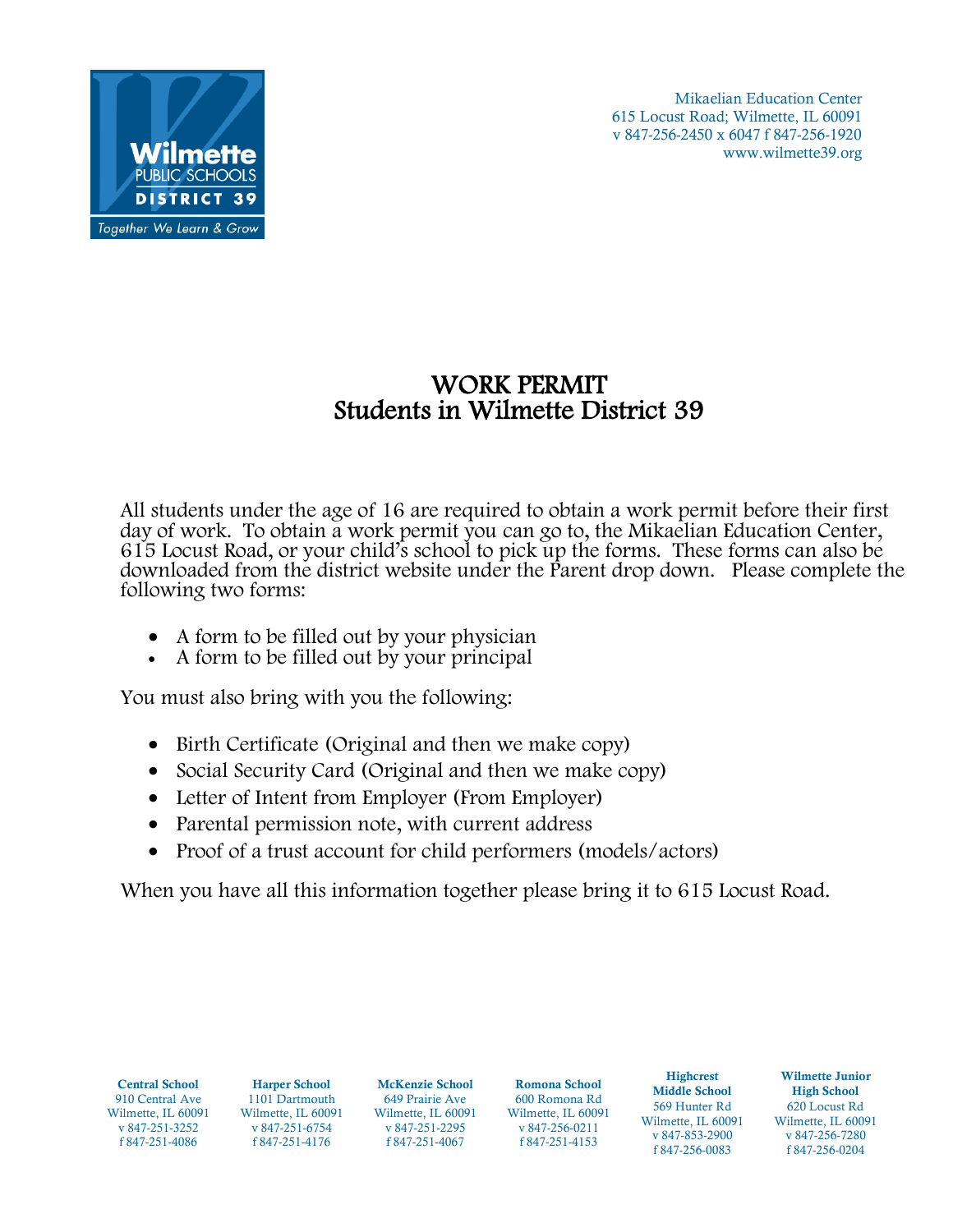

## WORK PERMIT Students in Wilmette District 39

All students under the age of 16 are required to obtain a work permit before their first day of work. To obtain a work permit you can go to, the Mikaelian Education Center, 615 Locust Road, or your child's school to pick up the forms. These forms can also be downloaded from the district website under the Parent drop down. Please complete the following two forms:

- A form to be filled out by your physician
- A form to be filled out by your principal

You must also bring with you the following:

- Birth Certificate (Original and then we make copy)
- Social Security Card (Original and then we make copy)
- Letter of Intent from Employer (From Employer)
- Parental permission note, with current address
- Proof of a trust account for child performers (models/actors)

When you have all this information together please bring it to 615 Locust Road.

| Romona School<br><b>McKenzie School</b><br><b>Harper School</b><br><b>Middle School</b><br><b>High School</b><br>910 Central Ave<br>649 Prairie Ave<br>600 Romona Rd<br>1101 Dartmouth<br>569 Hunter Rd<br>620 Locust Rd<br>Wilmette, IL 60091<br>Wilmette, IL 60091<br>Wilmette, IL 60091<br>Wilmette, IL 60091<br>Wilmette, IL 60091<br>Wilmette, IL 60091<br>v 847-251-3252<br>v 847-251-2295<br>v 847-256-0211<br>v 847-251-6754<br>v 847-853-2900<br>v 847-256-7280<br>f 847-251-4086<br>f 847-251-4067<br>f 847-251-4153<br>f 847-251-4176<br>f 847-256-0083<br>f 847-256-0204 | <b>Central School</b> |
|--------------------------------------------------------------------------------------------------------------------------------------------------------------------------------------------------------------------------------------------------------------------------------------------------------------------------------------------------------------------------------------------------------------------------------------------------------------------------------------------------------------------------------------------------------------------------------------|-----------------------|
|--------------------------------------------------------------------------------------------------------------------------------------------------------------------------------------------------------------------------------------------------------------------------------------------------------------------------------------------------------------------------------------------------------------------------------------------------------------------------------------------------------------------------------------------------------------------------------------|-----------------------|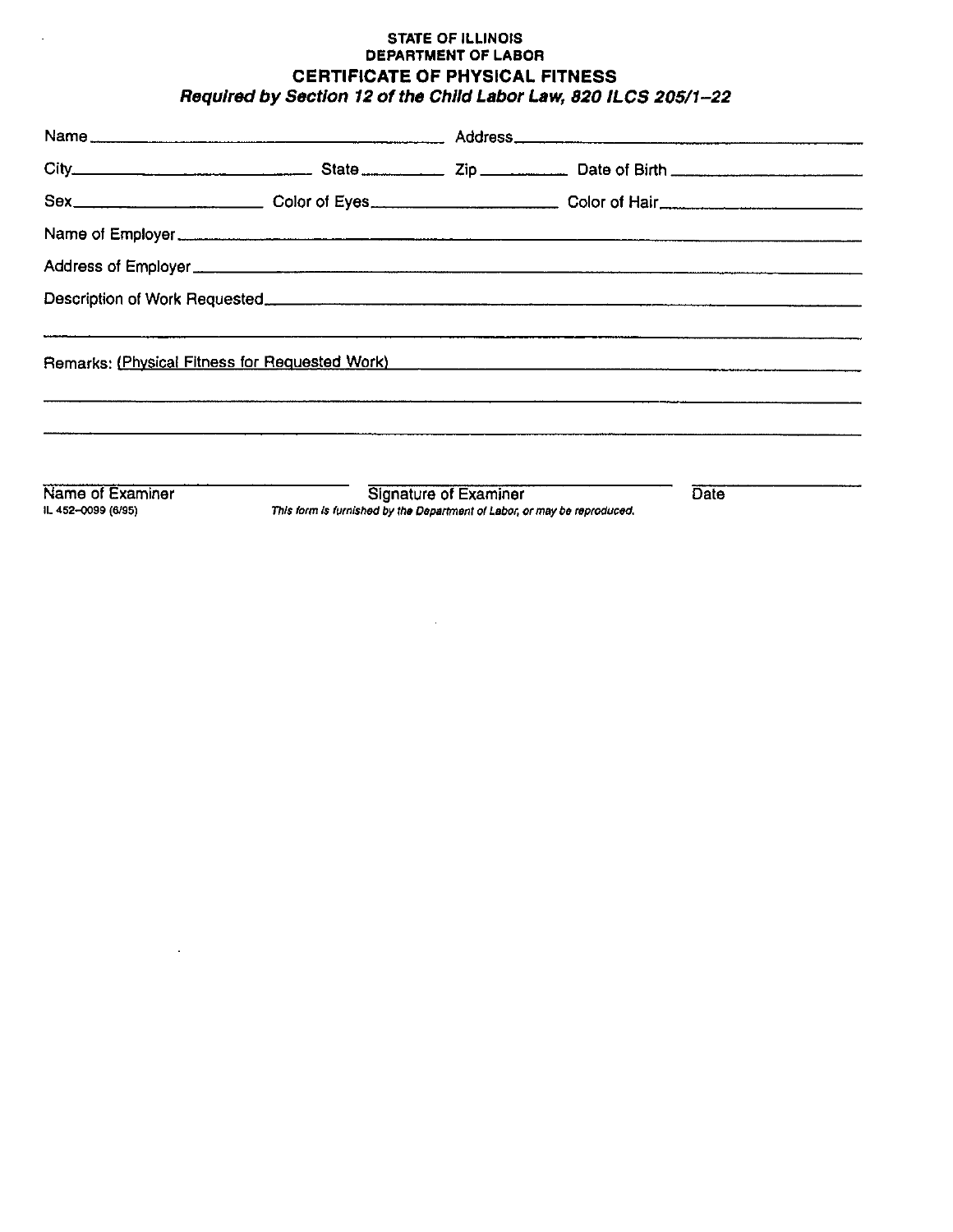## **STATE OF ILLINOIS** DEPARTMENT OF LABOR CERTIFICATE OF PHYSICAL FITNESS Required by Section 12 of the Child Labor Law, 820 ILCS 205/1-22

| Name                                                                                                                                                                                                                           |                              |      |
|--------------------------------------------------------------------------------------------------------------------------------------------------------------------------------------------------------------------------------|------------------------------|------|
|                                                                                                                                                                                                                                |                              |      |
| Sex___________________________Color of Eyes___________________________Color of Hair___________________________                                                                                                                 |                              |      |
| Name of Employer experience and the contract of the contract of the contract of the contract of the contract of the contract of the contract of the contract of the contract of the contract of the contract of the contract o |                              |      |
|                                                                                                                                                                                                                                |                              |      |
|                                                                                                                                                                                                                                |                              |      |
|                                                                                                                                                                                                                                |                              |      |
| Name of Examiner                                                                                                                                                                                                               | <b>Signature of Examiner</b> | Date |

IL 452-0099 (6/95)

 $\sim$ 

J.

Signature of Examiner This form is furnished by the Department of Labor, or may be reproduced.

 $\sim 10^{-10}$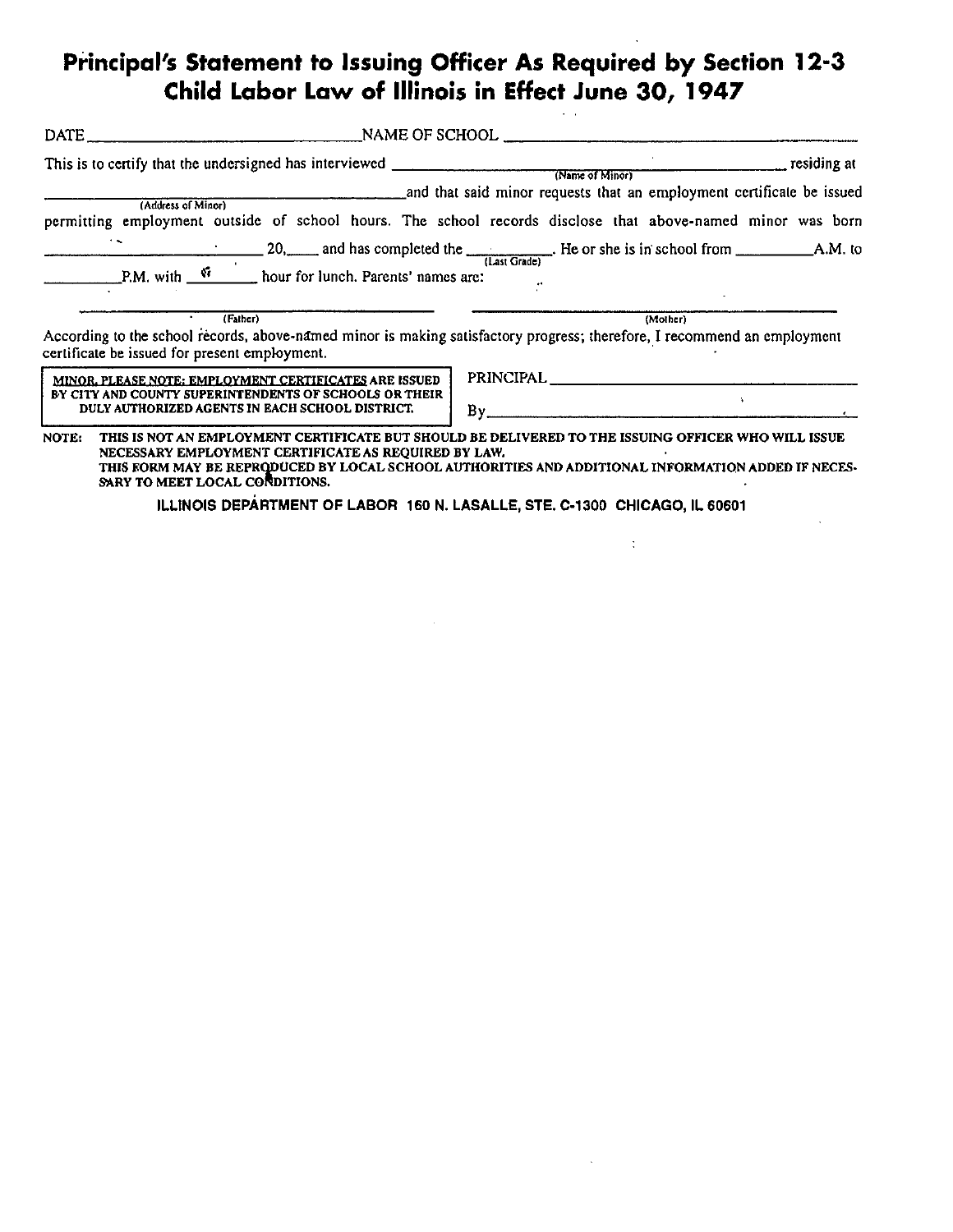## Principal's Statement to Issuing Officer As Required by Section 12-3<br>Child Labor Law of Illinois in Effect June 30, 1947

| (Address of Minor)<br>$\ddot{\phantom{1}}$                                                                                                                                                                         | permitting employment outside of school hours. The school records disclose that above-named minor was born                                                                                                |
|--------------------------------------------------------------------------------------------------------------------------------------------------------------------------------------------------------------------|-----------------------------------------------------------------------------------------------------------------------------------------------------------------------------------------------------------|
| (Father)<br>certificate be issued for present employment.                                                                                                                                                          | (Mother)<br>According to the school records, above-named minor is making satisfactory progress; therefore, I recommend an employment                                                                      |
| MINOR, PLEASE NOTE: EMPLOYMENT CERTIFICATES ARE ISSUED<br>BY CITY AND COUNTY SUPERINTENDENTS OF SCHOOLS OR THEIR<br>DULY AUTHORIZED AGENTS IN EACH SCHOOL DISTRICT.                                                | PRINCIPAL PRINCIPAL<br>By                                                                                                                                                                                 |
| NOTE:<br>NECESSARY EMPLOYMENT CERTIFICATE AS REQUIRED BY LAW.<br>SARY TO MEET LOCAL CONDITIONS.<br>the contract of the contract of the contract of the contract of the contract of the contract of the contract of | THIS IS NOT AN EMPLOYMENT CERTIFICATE BUT SHOULD BE DELIVERED TO THE ISSUING OFFICER WHO WILL ISSUE<br>THIS FORM MAY BE REPRODUCED BY LOCAL SCHOOL AUTHORITIES AND ADDITIONAL INFORMATION ADDED IF NECES- |

ILLINOIS DEPARTMENT OF LABOR 160 N. LASALLE, STE. C-1300 CHICAGO, IL 60601

 $\sim 10$ 

 $\sim 10^6$